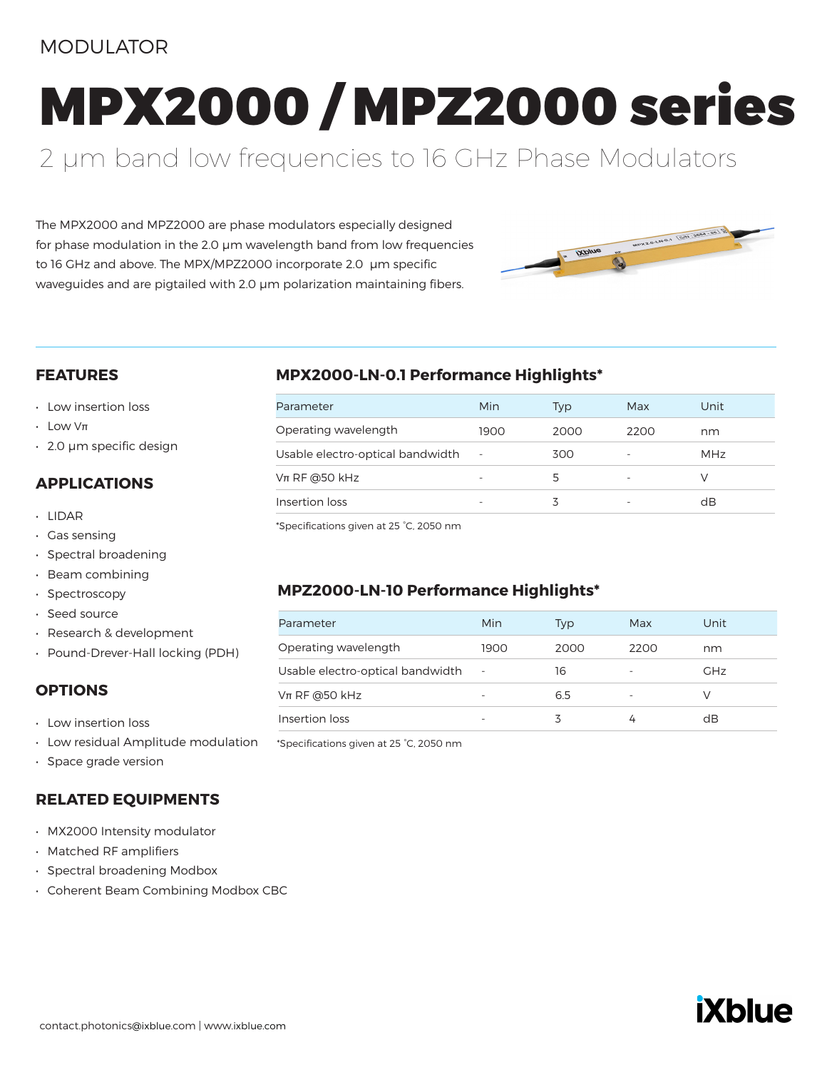# MODULATOR

MPX2000 / MPZ2000 series

# 2 µm band low frequencies to 16 GHz Phase Modulators

The MPX2000 and MPZ2000 are phase modulators especially designed for phase modulation in the 2.0 µm wavelength band from low frequencies to 16 GHz and above. The MPX/MPZ2000 incorporate 2.0 µm specific waveguides and are pigtailed with 2.0 µm polarization maintaining fibers.



#### **FEATURES**

- Low insertion loss
- $\cdot$  Low V $\pi$
- 2.0 μm specific design

### **APPLICATIONS**

- LIDAR
- Gas sensing
- Spectral broadening
- Beam combining
- Spectroscopy
- Seed source
- Research & development
- Pound-Drever-Hall locking (PDH)

#### **OPTIONS**

- Low insertion loss
- Low residual Amplitude modulation
- Space grade version

#### **RELATED EQUIPMENTS**

- MX2000 Intensity modulator
- Matched RF amplifiers
- Spectral broadening Modbox
- Coherent Beam Combining Modbox CBC

### **MPX2000-LN-0.1 Performance Highlights\***

| Parameter                        | Min  | Typ  | Max  | Unit       |
|----------------------------------|------|------|------|------------|
| Operating wavelength             | 1900 | 2000 | 2200 | nm         |
| Usable electro-optical bandwidth |      | 300  |      | <b>MHz</b> |
| $Vπ$ RF @50 kHz                  |      | 5    |      |            |
| Insertion loss                   |      | ζ    |      | dB         |

\*Specifications given at 25 °C, 2050 nm

### **MPZ2000-LN-10 Performance Highlights\***

| Parameter                        | Min    | Typ  | Max  | Unit       |
|----------------------------------|--------|------|------|------------|
| Operating wavelength             | 1900   | 2000 | 2200 | nm         |
| Usable electro-optical bandwidth | $\sim$ | 16   |      | <b>GHz</b> |
| $Vπ$ RF @50 kHz                  |        | 6.5  |      |            |
| Insertion loss                   |        | ζ    |      | dB         |

\*Specifications given at 25 °C, 2050 nm

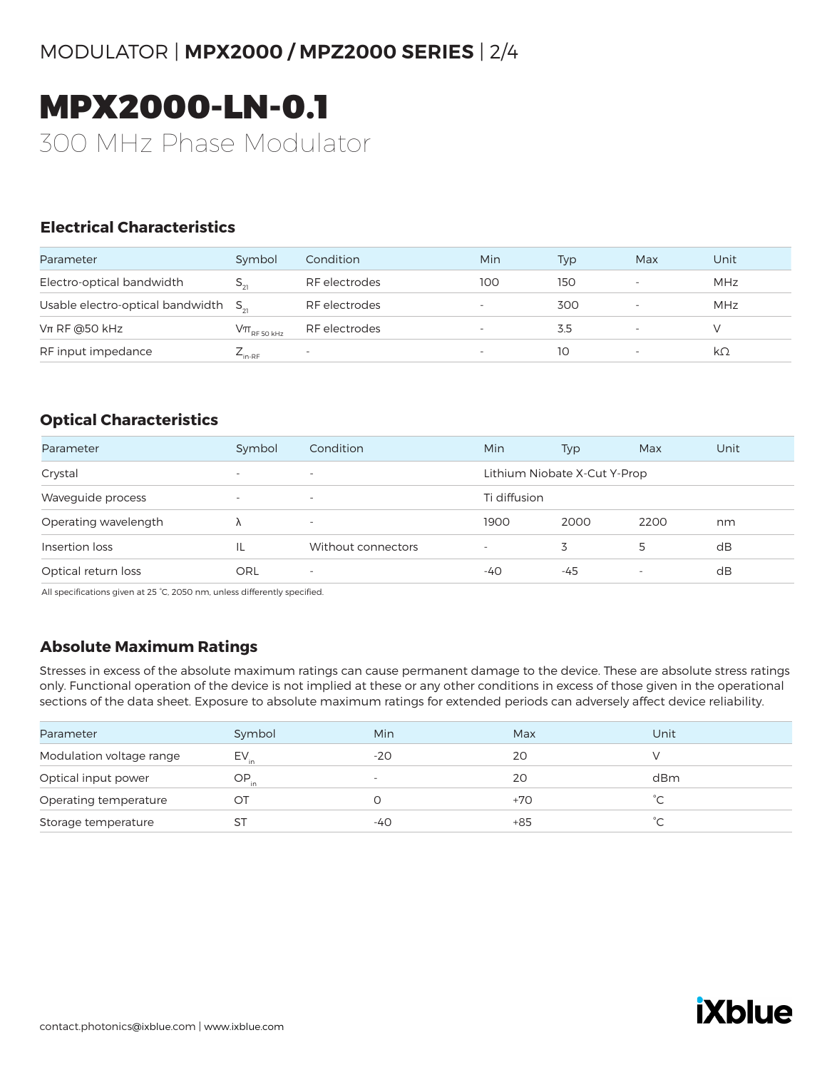# MODULATOR | **MPX2000 / MPZ2000 SERIES** | 2/4

# MPX2000-LN-0.1 300 MHz Phase Modulator

### **Electrical Characteristics**

| Parameter                                 | Symbol                       | Condition     | Min | Typ | Max | Unit       |
|-------------------------------------------|------------------------------|---------------|-----|-----|-----|------------|
| Electro-optical bandwidth                 | $S_{21}$                     | RF electrodes | 100 | 150 | ۰   | <b>MHz</b> |
| Usable electro-optical bandwidth $S_{21}$ |                              | RF electrodes |     | 300 |     | MHz        |
| $Vπ$ RF @50 kHz                           | $\rm V\pi_{\rm RF\,50\,kHz}$ | RF electrodes |     | 3.5 |     |            |
| RF input impedance                        | $L_{\text{in-RF}}$           |               |     | 10  |     | kΩ         |

### **Optical Characteristics**

| Parameter            | Symbol                   | Condition                | Min                      | Typ                          | Max                      | Unit |
|----------------------|--------------------------|--------------------------|--------------------------|------------------------------|--------------------------|------|
| Crystal              | $\overline{\phantom{0}}$ | $\overline{\phantom{a}}$ |                          | Lithium Niobate X-Cut Y-Prop |                          |      |
| Waveguide process    | $\overline{\phantom{a}}$ | $\overline{\phantom{a}}$ | Ti diffusion             |                              |                          |      |
| Operating wavelength |                          | $\overline{\phantom{a}}$ | 1900                     | 2000                         | 2200                     | nm   |
| Insertion loss       |                          | Without connectors       | $\overline{\phantom{a}}$ | 3                            | 5                        | dB   |
| Optical return loss  | ORL                      | $\overline{\phantom{a}}$ | -40                      | -45                          | $\overline{\phantom{a}}$ | dB   |

All specifications given at 25 °C, 2050 nm, unless differently specified.

## **Absolute Maximum Ratings**

Stresses in excess of the absolute maximum ratings can cause permanent damage to the device. These are absolute stress ratings only. Functional operation of the device is not implied at these or any other conditions in excess of those given in the operational sections of the data sheet. Exposure to absolute maximum ratings for extended periods can adversely affect device reliability.

| Parameter                | Symbol    | Min                      | Max   | Unit |
|--------------------------|-----------|--------------------------|-------|------|
| Modulation voltage range | $EV_{in}$ | $-20$                    | 20    |      |
| Optical input power      | OP.       | $\overline{\phantom{a}}$ | 20    | dBm  |
| Operating temperature    | OТ        |                          | $+70$ | ∽    |
| Storage temperature      |           | -40                      | $+85$ |      |
|                          |           |                          |       |      |

# **iXblue**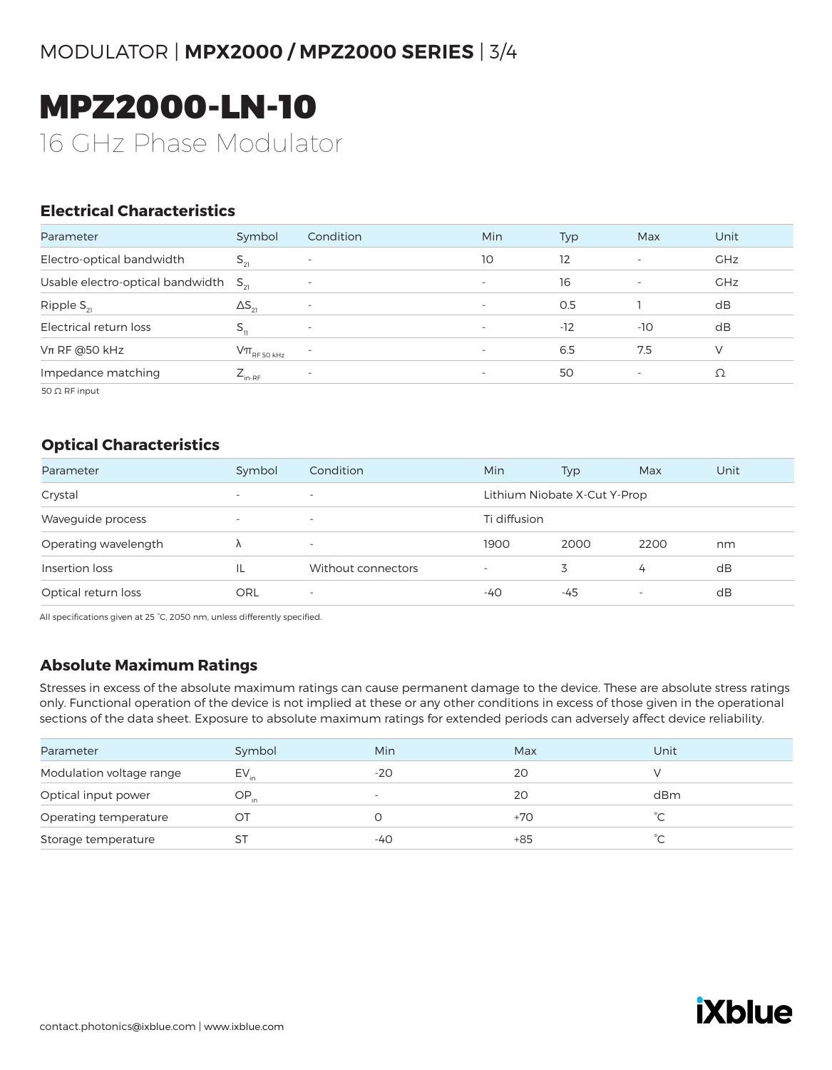# MODULATOR | **MPX2000 / MPZ2000 SERIES** | 3/4

# MPZ2000-LN-10 16 GHz Phase Modulator

## **Electrical Characteristics**

| Parameter                                 | Symbol                                                                                       | Condition                | Min                      | Typ   | Max                      | Unit       |
|-------------------------------------------|----------------------------------------------------------------------------------------------|--------------------------|--------------------------|-------|--------------------------|------------|
| Electro-optical bandwidth                 | $S_{21}$                                                                                     |                          | 10                       | 12    | $\overline{\phantom{a}}$ | <b>GHz</b> |
| Usable electro-optical bandwidth $S_{21}$ |                                                                                              |                          | $\overline{\phantom{a}}$ | 16    | $\overline{\phantom{a}}$ | <b>GHz</b> |
| Ripple $S_{21}$                           | $\Delta S_{21}$                                                                              | $\overline{\phantom{a}}$ | $\overline{\phantom{a}}$ | 0.5   |                          | dB         |
| Electrical return loss                    |                                                                                              | $\overline{\phantom{a}}$ | $\overline{\phantom{a}}$ | $-12$ | $-10$                    | dB         |
| $Vπ$ RF @50 kHz                           | $\mathsf{V}\pi_{\scriptscriptstyle\mathrm{RF}\,50\,\scriptscriptstyle\mathrm{K}\mathrm{Hz}}$ |                          | $\overline{\phantom{a}}$ | 6.5   | 7.5                      | V          |
| Impedance matching                        | $Z_{_{\mathsf{in\text{-}RF}}}$                                                               | $\overline{\phantom{0}}$ | $\overline{\phantom{a}}$ | 50    | $\overline{\phantom{a}}$ | Ω          |
| $50 \Omega$ RF input                      |                                                                                              |                          |                          |       |                          |            |

#### **Optical Characteristics**

| Parameter            | Symbol                   | Condition                | Min          | Typ                          | Max                      | Unit |
|----------------------|--------------------------|--------------------------|--------------|------------------------------|--------------------------|------|
| Crystal              | $\overline{\phantom{a}}$ | $\overline{\phantom{a}}$ |              | Lithium Niobate X-Cut Y-Prop |                          |      |
| Waveguide process    | $\overline{\phantom{a}}$ | $\overline{\phantom{a}}$ | Ti diffusion |                              |                          |      |
| Operating wavelength |                          | $\overline{\phantom{a}}$ | 1900         | 2000                         | 2200                     | nm   |
| Insertion loss       |                          | Without connectors       |              | 3                            | 4                        | dB   |
| Optical return loss  | ORL                      | $\overline{\phantom{a}}$ | -40          | -45                          | $\overline{\phantom{0}}$ | dB   |

All specifications given at 25 °C, 2050 nm, unless differently specified.

## **Absolute Maximum Ratings**

Stresses in excess of the absolute maximum ratings can cause permanent damage to the device. These are absolute stress ratings only. Functional operation of the device is not implied at these or any other conditions in excess of those given in the operational sections of the data sheet. Exposure to absolute maximum ratings for extended periods can adversely affect device reliability.

| Parameter                | Symbol    | Min                      | Max | Unit |
|--------------------------|-----------|--------------------------|-----|------|
| Modulation voltage range | $EV_{in}$ | $-20$                    | 20  |      |
| Optical input power      | OP.       | $\overline{\phantom{a}}$ | 20  | dBm  |
| Operating temperature    | OТ        |                          | +70 |      |
| Storage temperature      | SТ        | -40                      | +85 | °⊂   |
|                          |           |                          |     |      |